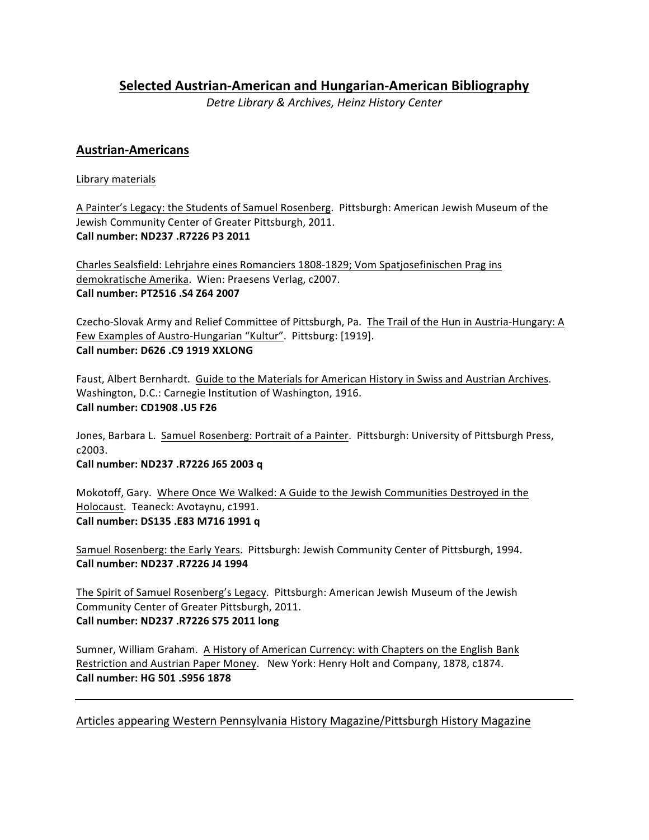**Selected Austrian-American and Hungarian-American Bibliography**

*Detre Library & Archives, Heinz History Center*

# **Austrian-Americans**

# Library materials

A Painter's Legacy: the Students of Samuel Rosenberg. Pittsburgh: American Jewish Museum of the Jewish Community Center of Greater Pittsburgh, 2011. **Call number: ND237 .R7226 P3 2011**

Charles Sealsfield: Lehrjahre eines Romanciers 1808-1829; Vom Spatjosefinischen Prag ins demokratische Amerika. Wien: Praesens Verlag, c2007. **Call number: PT2516 .S4 Z64 2007**

Czecho-Slovak Army and Relief Committee of Pittsburgh, Pa. The Trail of the Hun in Austria-Hungary: A Few Examples of Austro-Hungarian "Kultur". Pittsburg: [1919]. **Call number: D626 .C9 1919 XXLONG**

Faust, Albert Bernhardt. Guide to the Materials for American History in Swiss and Austrian Archives. Washington, D.C.: Carnegie Institution of Washington, 1916. **Call number: CD1908 .U5 F26** 

Jones, Barbara L. Samuel Rosenberg: Portrait of a Painter. Pittsburgh: University of Pittsburgh Press, c2003. 

**Call number: ND237 .R7226 J65 2003 q** 

Mokotoff, Gary. Where Once We Walked: A Guide to the Jewish Communities Destroyed in the Holocaust. Teaneck: Avotaynu, c1991. Call number: DS135 .E83 M716 1991 q

Samuel Rosenberg: the Early Years. Pittsburgh: Jewish Community Center of Pittsburgh, 1994. **Call number: ND237 .R7226 J4 1994**

The Spirit of Samuel Rosenberg's Legacy. Pittsburgh: American Jewish Museum of the Jewish Community Center of Greater Pittsburgh, 2011. **Call number: ND237 .R7226 S75 2011 long**

Sumner, William Graham. A History of American Currency: with Chapters on the English Bank Restriction and Austrian Paper Money. New York: Henry Holt and Company, 1878, c1874. **Call number: HG 501 .S956 1878**

Articles appearing Western Pennsylvania History Magazine/Pittsburgh History Magazine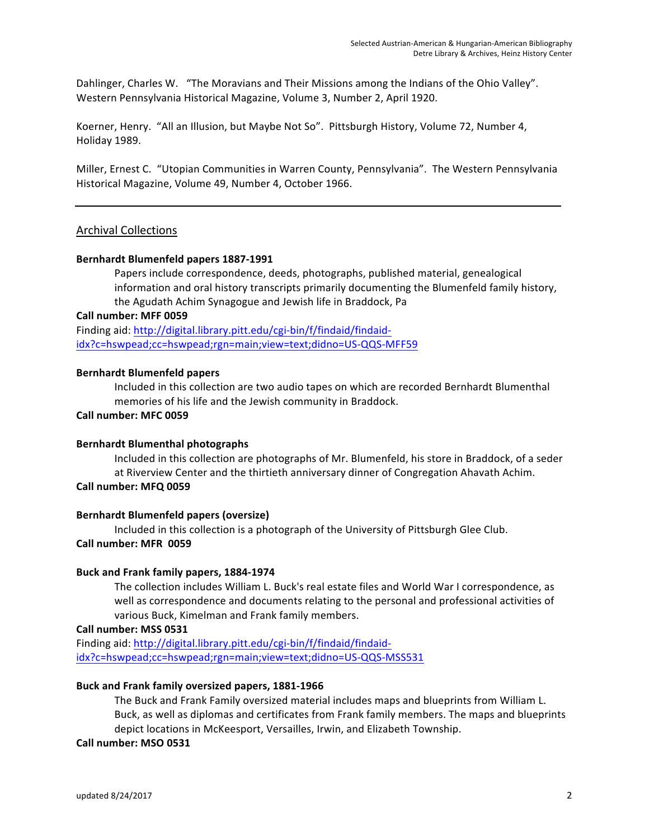Dahlinger, Charles W. "The Moravians and Their Missions among the Indians of the Ohio Valley". Western Pennsylvania Historical Magazine, Volume 3, Number 2, April 1920.

Koerner, Henry. "All an Illusion, but Maybe Not So". Pittsburgh History, Volume 72, Number 4, Holiday 1989.

Miller, Ernest C. "Utopian Communities in Warren County, Pennsylvania". The Western Pennsylvania Historical Magazine, Volume 49, Number 4, October 1966.

### Archival Collections

#### **Bernhardt Blumenfeld papers 1887-1991**

Papers include correspondence, deeds, photographs, published material, genealogical information and oral history transcripts primarily documenting the Blumenfeld family history, the Agudath Achim Synagogue and Jewish life in Braddock, Pa

#### **Call number: MFF 0059**

Finding aid: http://digital.library.pitt.edu/cgi-bin/f/findaid/findaididx?c=hswpead;cc=hswpead;rgn=main;view=text;didno=US-QQS-MFF59

#### **Bernhardt Blumenfeld papers**

Included in this collection are two audio tapes on which are recorded Bernhardt Blumenthal memories of his life and the Jewish community in Braddock.

#### **Call number: MFC 0059**

#### **Bernhardt Blumenthal photographs**

Included in this collection are photographs of Mr. Blumenfeld, his store in Braddock, of a seder at Riverview Center and the thirtieth anniversary dinner of Congregation Ahavath Achim. **Call number: MFQ 0059**

#### **Bernhardt Blumenfeld papers (oversize)**

Included in this collection is a photograph of the University of Pittsburgh Glee Club. **Call number: MFR 0059**

#### **Buck and Frank family papers, 1884-1974**

The collection includes William L. Buck's real estate files and World War I correspondence, as well as correspondence and documents relating to the personal and professional activities of various Buck, Kimelman and Frank family members.

**Call number: MSS 0531**

Finding aid: http://digital.library.pitt.edu/cgi-bin/f/findaid/findaididx?c=hswpead;cc=hswpead;rgn=main;view=text;didno=US-QQS-MSS531

#### Buck and Frank family oversized papers, 1881-1966

The Buck and Frank Family oversized material includes maps and blueprints from William L. Buck, as well as diplomas and certificates from Frank family members. The maps and blueprints depict locations in McKeesport, Versailles, Irwin, and Elizabeth Township.

#### **Call number: MSO 0531**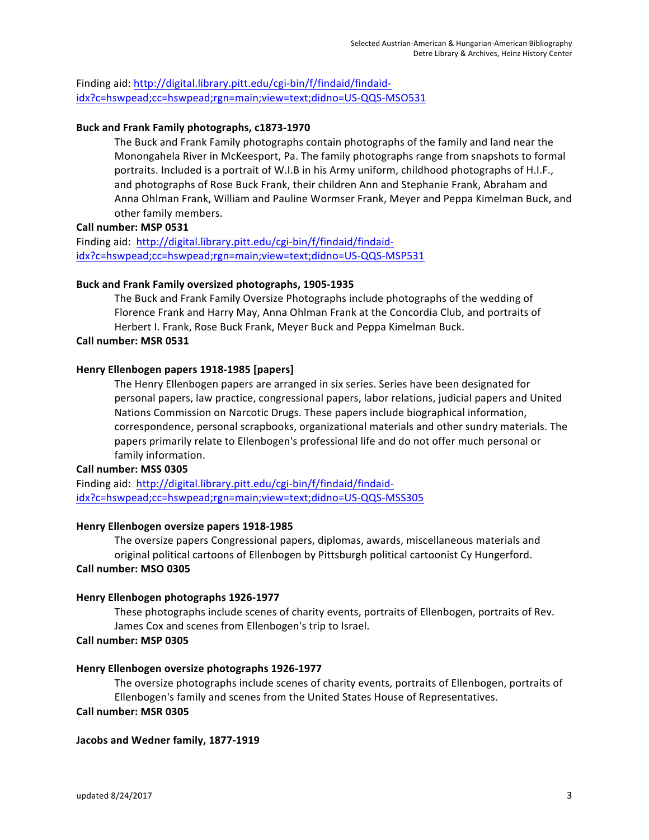Finding aid: http://digital.library.pitt.edu/cgi-bin/f/findaid/findaididx?c=hswpead;cc=hswpead;rgn=main;view=text;didno=US-QQS-MSO531

#### Buck and Frank Family photographs, c1873-1970

The Buck and Frank Family photographs contain photographs of the family and land near the Monongahela River in McKeesport, Pa. The family photographs range from snapshots to formal portraits. Included is a portrait of W.I.B in his Army uniform, childhood photographs of H.I.F., and photographs of Rose Buck Frank, their children Ann and Stephanie Frank, Abraham and Anna Ohlman Frank, William and Pauline Wormser Frank, Meyer and Peppa Kimelman Buck, and other family members.

#### **Call number: MSP 0531**

Finding aid: http://digital.library.pitt.edu/cgi-bin/f/findaid/findaididx?c=hswpead;cc=hswpead;rgn=main;view=text;didno=US-QQS-MSP531

#### **Buck and Frank Family oversized photographs, 1905-1935**

The Buck and Frank Family Oversize Photographs include photographs of the wedding of Florence Frank and Harry May, Anna Ohlman Frank at the Concordia Club, and portraits of Herbert I. Frank, Rose Buck Frank, Meyer Buck and Peppa Kimelman Buck.

#### **Call number: MSR 0531**

#### **Henry Ellenbogen papers 1918-1985 [papers]**

The Henry Ellenbogen papers are arranged in six series. Series have been designated for personal papers, law practice, congressional papers, labor relations, judicial papers and United Nations Commission on Narcotic Drugs. These papers include biographical information, correspondence, personal scrapbooks, organizational materials and other sundry materials. The papers primarily relate to Ellenbogen's professional life and do not offer much personal or family information.

#### **Call number: MSS 0305**

Finding aid: http://digital.library.pitt.edu/cgi-bin/f/findaid/findaididx?c=hswpead;cc=hswpead;rgn=main;view=text;didno=US-QQS-MSS305

#### **Henry Ellenbogen oversize papers 1918-1985**

The oversize papers Congressional papers, diplomas, awards, miscellaneous materials and original political cartoons of Ellenbogen by Pittsburgh political cartoonist Cy Hungerford. **Call number: MSO 0305**

#### **Henry Ellenbogen photographs 1926-1977**

These photographs include scenes of charity events, portraits of Ellenbogen, portraits of Rev. James Cox and scenes from Ellenbogen's trip to Israel.

#### **Call number: MSP 0305**

#### **Henry Ellenbogen oversize photographs 1926-1977**

The oversize photographs include scenes of charity events, portraits of Ellenbogen, portraits of Ellenbogen's family and scenes from the United States House of Representatives.

#### **Call number: MSR 0305**

#### Jacobs and Wedner family, 1877-1919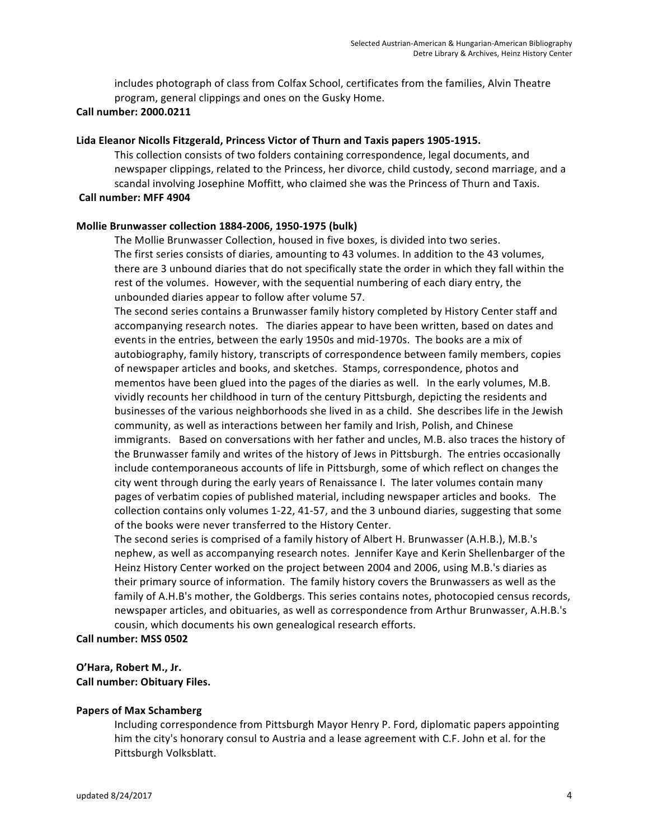includes photograph of class from Colfax School, certificates from the families, Alvin Theatre program, general clippings and ones on the Gusky Home.

#### **Call number: 2000.0211**

#### Lida Eleanor Nicolls Fitzgerald, Princess Victor of Thurn and Taxis papers 1905-1915.

This collection consists of two folders containing correspondence, legal documents, and newspaper clippings, related to the Princess, her divorce, child custody, second marriage, and a scandal involving Josephine Moffitt, who claimed she was the Princess of Thurn and Taxis. **Call number: MFF 4904**

# **Mollie Brunwasser collection 1884-2006, 1950-1975 (bulk)**

The Mollie Brunwasser Collection, housed in five boxes, is divided into two series. The first series consists of diaries, amounting to 43 volumes. In addition to the 43 volumes, there are 3 unbound diaries that do not specifically state the order in which they fall within the rest of the volumes. However, with the sequential numbering of each diary entry, the unbounded diaries appear to follow after volume 57.

The second series contains a Brunwasser family history completed by History Center staff and accompanying research notes. The diaries appear to have been written, based on dates and events in the entries, between the early 1950s and mid-1970s. The books are a mix of autobiography, family history, transcripts of correspondence between family members, copies of newspaper articles and books, and sketches. Stamps, correspondence, photos and mementos have been glued into the pages of the diaries as well. In the early volumes, M.B. vividly recounts her childhood in turn of the century Pittsburgh, depicting the residents and businesses of the various neighborhoods she lived in as a child. She describes life in the Jewish community, as well as interactions between her family and Irish, Polish, and Chinese immigrants. Based on conversations with her father and uncles, M.B. also traces the history of the Brunwasser family and writes of the history of Jews in Pittsburgh. The entries occasionally include contemporaneous accounts of life in Pittsburgh, some of which reflect on changes the city went through during the early years of Renaissance I. The later volumes contain many pages of verbatim copies of published material, including newspaper articles and books. The collection contains only volumes 1-22, 41-57, and the 3 unbound diaries, suggesting that some of the books were never transferred to the History Center.

The second series is comprised of a family history of Albert H. Brunwasser (A.H.B.), M.B.'s nephew, as well as accompanying research notes. Jennifer Kaye and Kerin Shellenbarger of the Heinz History Center worked on the project between 2004 and 2006, using M.B.'s diaries as their primary source of information. The family history covers the Brunwassers as well as the family of A.H.B's mother, the Goldbergs. This series contains notes, photocopied census records, newspaper articles, and obituaries, as well as correspondence from Arthur Brunwasser, A.H.B.'s cousin, which documents his own genealogical research efforts.

#### **Call number: MSS 0502**

# **O'Hara, Robert M., Jr. Call number: Obituary Files.**

#### **Papers of Max Schamberg**

Including correspondence from Pittsburgh Mayor Henry P. Ford, diplomatic papers appointing him the city's honorary consul to Austria and a lease agreement with C.F. John et al. for the Pittsburgh Volksblatt.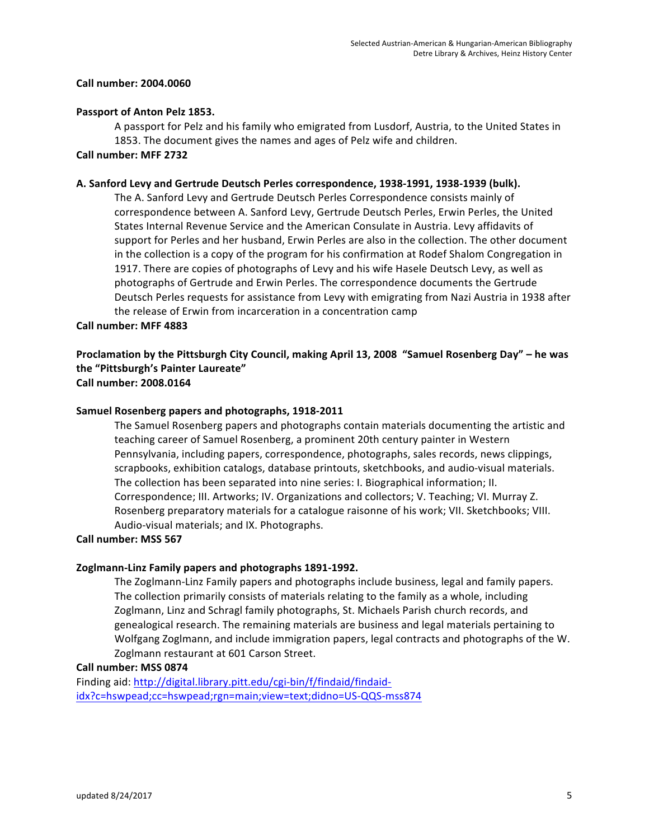#### **Call number: 2004.0060**

#### Passport of Anton Pelz 1853.

A passport for Pelz and his family who emigrated from Lusdorf, Austria, to the United States in 1853. The document gives the names and ages of Pelz wife and children.

#### **Call number: MFF 2732**

#### **A. Sanford Levy and Gertrude Deutsch Perles correspondence, 1938-1991, 1938-1939 (bulk).**

The A. Sanford Levy and Gertrude Deutsch Perles Correspondence consists mainly of correspondence between A. Sanford Levy, Gertrude Deutsch Perles, Erwin Perles, the United States Internal Revenue Service and the American Consulate in Austria. Levy affidavits of support for Perles and her husband, Erwin Perles are also in the collection. The other document in the collection is a copy of the program for his confirmation at Rodef Shalom Congregation in 1917. There are copies of photographs of Levy and his wife Hasele Deutsch Levy, as well as photographs of Gertrude and Erwin Perles. The correspondence documents the Gertrude Deutsch Perles requests for assistance from Levy with emigrating from Nazi Austria in 1938 after the release of Erwin from incarceration in a concentration camp

#### **Call number: MFF 4883**

### Proclamation by the Pittsburgh City Council, making April 13, 2008 "Samuel Rosenberg Day" – he was the "Pittsburgh's Painter Laureate" **Call number: 2008.0164**

#### Samuel Rosenberg papers and photographs, 1918-2011

The Samuel Rosenberg papers and photographs contain materials documenting the artistic and teaching career of Samuel Rosenberg, a prominent 20th century painter in Western Pennsylvania, including papers, correspondence, photographs, sales records, news clippings, scrapbooks, exhibition catalogs, database printouts, sketchbooks, and audio-visual materials. The collection has been separated into nine series: I. Biographical information; II. Correspondence; III. Artworks; IV. Organizations and collectors; V. Teaching; VI. Murray Z. Rosenberg preparatory materials for a catalogue raisonne of his work; VII. Sketchbooks; VIII. Audio-visual materials; and IX. Photographs.

#### **Call number: MSS 567**

#### **Zoglmann-Linz Family papers and photographs 1891-1992.**

The Zoglmann-Linz Family papers and photographs include business, legal and family papers. The collection primarily consists of materials relating to the family as a whole, including Zoglmann, Linz and Schragl family photographs, St. Michaels Parish church records, and genealogical research. The remaining materials are business and legal materials pertaining to Wolfgang Zoglmann, and include immigration papers, legal contracts and photographs of the W. Zoglmann restaurant at 601 Carson Street.

#### **Call number: MSS 0874**

Finding aid: http://digital.library.pitt.edu/cgi-bin/f/findaid/findaididx?c=hswpead;cc=hswpead;rgn=main;view=text;didno=US-QQS-mss874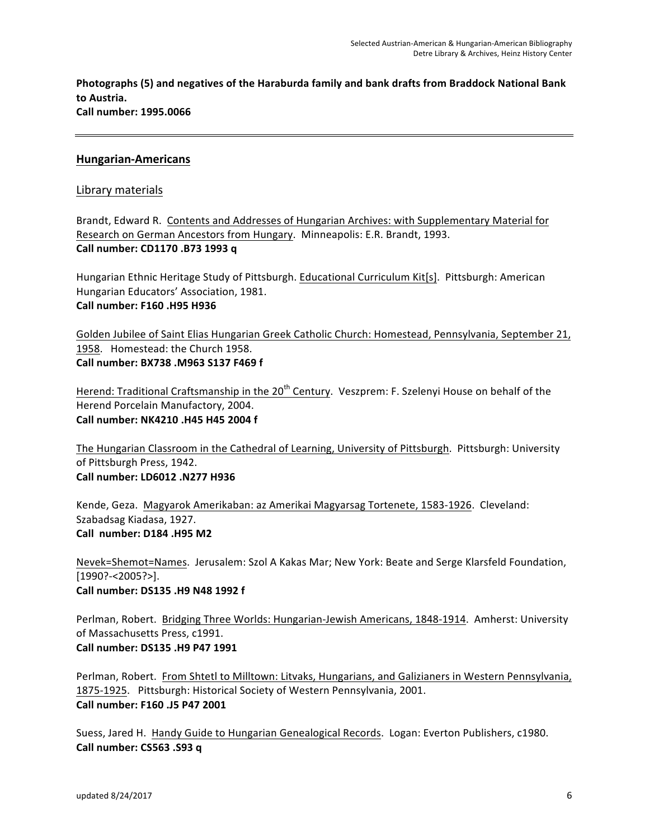**Photographs (5) and negatives of the Haraburda family and bank drafts from Braddock National Bank** to Austria. **Call number: 1995.0066**

## **Hungarian-Americans**

### Library materials

Brandt, Edward R. Contents and Addresses of Hungarian Archives: with Supplementary Material for Research on German Ancestors from Hungary. Minneapolis: E.R. Brandt, 1993. **Call number: CD1170 .B73 1993 q**

Hungarian Ethnic Heritage Study of Pittsburgh. Educational Curriculum Kit[s]. Pittsburgh: American Hungarian Educators' Association, 1981. Call number: **F160** .H95 H936

Golden Jubilee of Saint Elias Hungarian Greek Catholic Church: Homestead, Pennsylvania, September 21, 1958. Homestead: the Church 1958. **Call number: BX738 .M963 S137 F469 f**

Herend: Traditional Craftsmanship in the 20<sup>th</sup> Century. Veszprem: F. Szelenyi House on behalf of the Herend Porcelain Manufactory, 2004. **Call number: NK4210 .H45 H45 2004 f**

The Hungarian Classroom in the Cathedral of Learning, University of Pittsburgh. Pittsburgh: University of Pittsburgh Press, 1942. **Call number: LD6012 .N277 H936** 

Kende, Geza. Magyarok Amerikaban: az Amerikai Magyarsag Tortenete, 1583-1926. Cleveland: Szabadsag Kiadasa, 1927. **Call number: D184 .H95 M2** 

Nevek=Shemot=Names. Jerusalem: Szol A Kakas Mar; New York: Beate and Serge Klarsfeld Foundation, [1990?-<2005?>]. **Call number: DS135 .H9 N48 1992 f**

Perlman, Robert. Bridging Three Worlds: Hungarian-Jewish Americans, 1848-1914. Amherst: University of Massachusetts Press, c1991. **Call number: DS135 .H9 P47 1991** 

Perlman, Robert. From Shtetl to Milltown: Litvaks, Hungarians, and Galizianers in Western Pennsylvania, 1875-1925. Pittsburgh: Historical Society of Western Pennsylvania, 2001. **Call number: F160 .J5 P47 2001** 

Suess, Jared H. Handy Guide to Hungarian Genealogical Records. Logan: Everton Publishers, c1980. **Call number: CS563 .S93 q**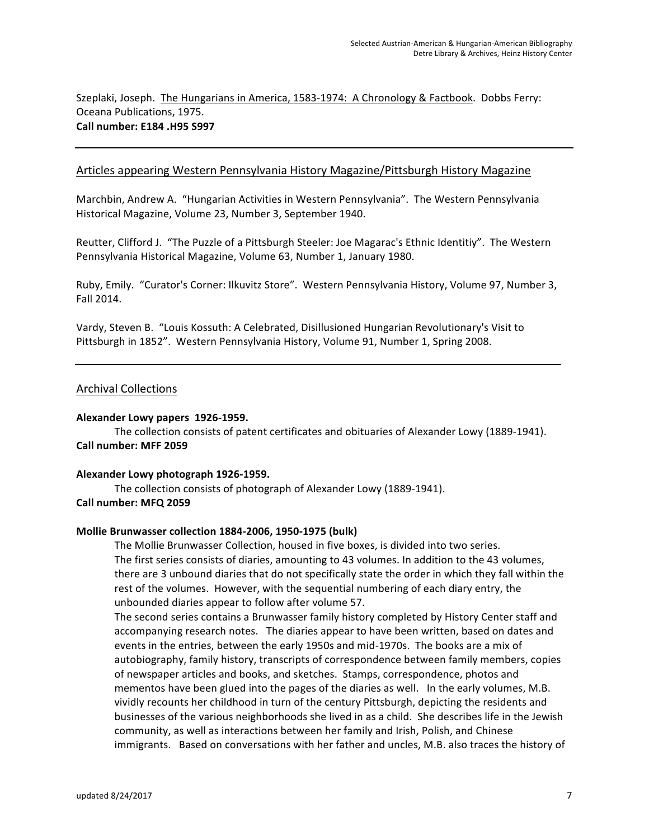Szeplaki, Joseph. The Hungarians in America, 1583-1974: A Chronology & Factbook. Dobbs Ferry: Oceana Publications, 1975. **Call number: E184 .H95 S997** 

#### Articles appearing Western Pennsylvania History Magazine/Pittsburgh History Magazine

Marchbin, Andrew A. "Hungarian Activities in Western Pennsylvania". The Western Pennsylvania Historical Magazine, Volume 23, Number 3, September 1940.

Reutter, Clifford J. "The Puzzle of a Pittsburgh Steeler: Joe Magarac's Ethnic Identitiy". The Western Pennsylvania Historical Magazine, Volume 63, Number 1, January 1980.

Ruby, Emily. "Curator's Corner: Ilkuvitz Store". Western Pennsylvania History, Volume 97, Number 3, Fall 2014.

Vardy, Steven B. "Louis Kossuth: A Celebrated, Disillusioned Hungarian Revolutionary's Visit to Pittsburgh in 1852". Western Pennsylvania History, Volume 91, Number 1, Spring 2008.

#### Archival Collections

#### **Alexander Lowy papers 1926-1959.**

The collection consists of patent certificates and obituaries of Alexander Lowy (1889-1941). **Call number: MFF 2059**

#### Alexander Lowy photograph 1926-1959.

The collection consists of photograph of Alexander Lowy (1889-1941). **Call number: MFQ 2059**

# **Mollie Brunwasser collection 1884-2006, 1950-1975 (bulk)**

The Mollie Brunwasser Collection, housed in five boxes, is divided into two series. The first series consists of diaries, amounting to 43 volumes. In addition to the 43 volumes, there are 3 unbound diaries that do not specifically state the order in which they fall within the rest of the volumes. However, with the sequential numbering of each diary entry, the unbounded diaries appear to follow after volume 57.

The second series contains a Brunwasser family history completed by History Center staff and accompanying research notes. The diaries appear to have been written, based on dates and events in the entries, between the early 1950s and mid-1970s. The books are a mix of autobiography, family history, transcripts of correspondence between family members, copies of newspaper articles and books, and sketches. Stamps, correspondence, photos and mementos have been glued into the pages of the diaries as well. In the early volumes, M.B. vividly recounts her childhood in turn of the century Pittsburgh, depicting the residents and businesses of the various neighborhoods she lived in as a child. She describes life in the Jewish community, as well as interactions between her family and Irish, Polish, and Chinese immigrants. Based on conversations with her father and uncles, M.B. also traces the history of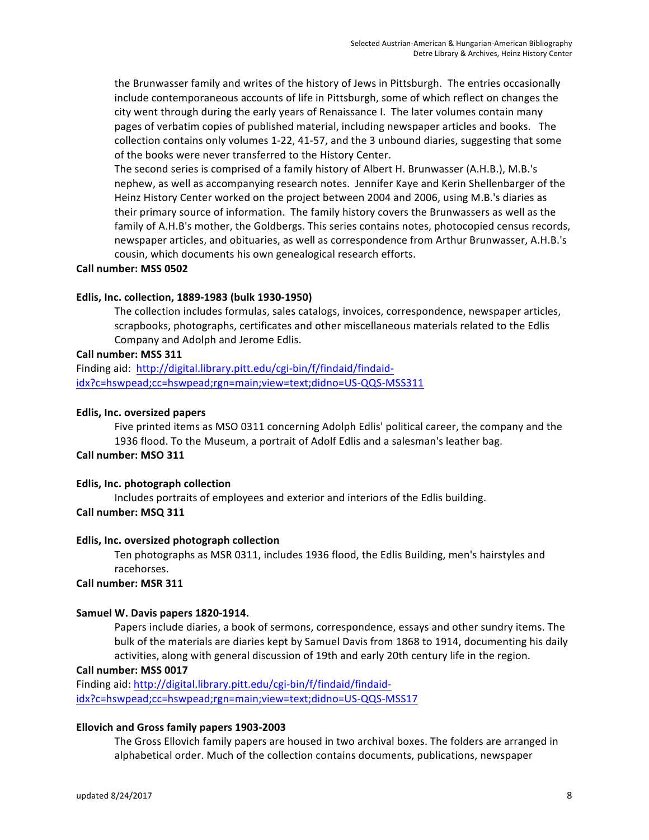the Brunwasser family and writes of the history of Jews in Pittsburgh. The entries occasionally include contemporaneous accounts of life in Pittsburgh, some of which reflect on changes the city went through during the early years of Renaissance I. The later volumes contain many pages of verbatim copies of published material, including newspaper articles and books. The collection contains only volumes 1-22, 41-57, and the 3 unbound diaries, suggesting that some of the books were never transferred to the History Center.

The second series is comprised of a family history of Albert H. Brunwasser (A.H.B.), M.B.'s nephew, as well as accompanying research notes. Jennifer Kaye and Kerin Shellenbarger of the Heinz History Center worked on the project between 2004 and 2006, using M.B.'s diaries as their primary source of information. The family history covers the Brunwassers as well as the family of A.H.B's mother, the Goldbergs. This series contains notes, photocopied census records, newspaper articles, and obituaries, as well as correspondence from Arthur Brunwasser, A.H.B.'s cousin, which documents his own genealogical research efforts.

#### **Call number: MSS 0502**

#### **Edlis, Inc. collection, 1889-1983 (bulk 1930-1950)**

The collection includes formulas, sales catalogs, invoices, correspondence, newspaper articles, scrapbooks, photographs, certificates and other miscellaneous materials related to the Edlis Company and Adolph and Jerome Edlis.

#### **Call number: MSS 311**

Finding aid: http://digital.library.pitt.edu/cgi-bin/f/findaid/findaididx?c=hswpead;cc=hswpead;rgn=main;view=text;didno=US-QQS-MSS311

#### **Edlis, Inc. oversized papers**

Five printed items as MSO 0311 concerning Adolph Edlis' political career, the company and the 1936 flood. To the Museum, a portrait of Adolf Edlis and a salesman's leather bag.

# **Call number: MSO 311**

#### **Edlis, Inc. photograph collection**

Includes portraits of employees and exterior and interiors of the Edlis building.

# **Call number: MSQ 311**

#### **Edlis, Inc. oversized photograph collection**

Ten photographs as MSR 0311, includes 1936 flood, the Edlis Building, men's hairstyles and racehorses.

#### **Call number: MSR 311**

#### Samuel W. Davis papers 1820-1914.

Papers include diaries, a book of sermons, correspondence, essays and other sundry items. The bulk of the materials are diaries kept by Samuel Davis from 1868 to 1914, documenting his daily activities, along with general discussion of 19th and early 20th century life in the region.

#### **Call number: MSS 0017**

Finding aid: http://digital.library.pitt.edu/cgi-bin/f/findaid/findaididx?c=hswpead;cc=hswpead;rgn=main;view=text;didno=US-QQS-MSS17

#### **Ellovich and Gross family papers 1903-2003**

The Gross Ellovich family papers are housed in two archival boxes. The folders are arranged in alphabetical order. Much of the collection contains documents, publications, newspaper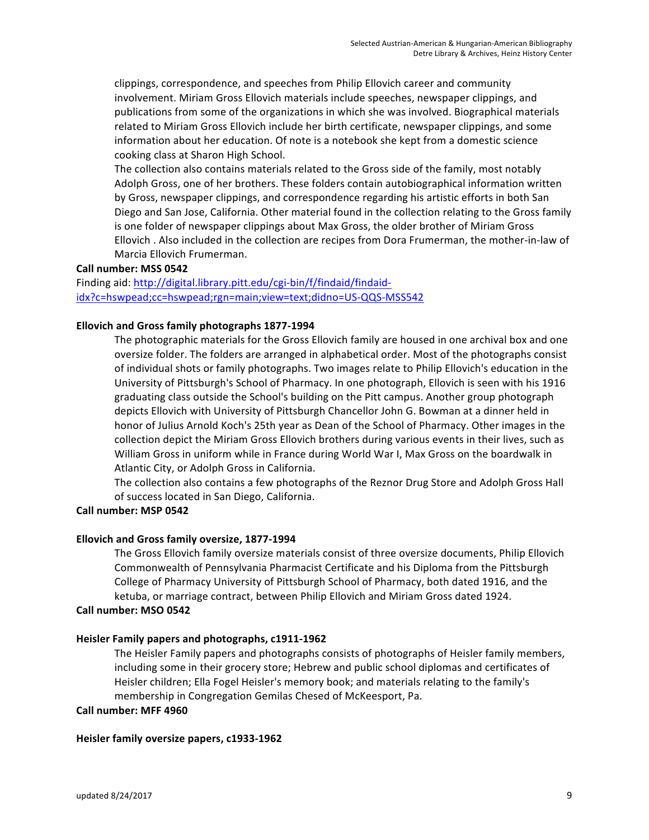clippings, correspondence, and speeches from Philip Ellovich career and community involvement. Miriam Gross Ellovich materials include speeches, newspaper clippings, and publications from some of the organizations in which she was involved. Biographical materials related to Miriam Gross Ellovich include her birth certificate, newspaper clippings, and some information about her education. Of note is a notebook she kept from a domestic science cooking class at Sharon High School.

The collection also contains materials related to the Gross side of the family, most notably Adolph Gross, one of her brothers. These folders contain autobiographical information written by Gross, newspaper clippings, and correspondence regarding his artistic efforts in both San Diego and San Jose, California. Other material found in the collection relating to the Gross family is one folder of newspaper clippings about Max Gross, the older brother of Miriam Gross Ellovich. Also included in the collection are recipes from Dora Frumerman, the mother-in-law of Marcia Ellovich Frumerman.

#### **Call number: MSS 0542**

Finding aid: http://digital.library.pitt.edu/cgi-bin/f/findaid/findaididx?c=hswpead;cc=hswpead;rgn=main;view=text;didno=US-QQS-MSS542

#### Ellovich and Gross family photographs 1877-1994

The photographic materials for the Gross Ellovich family are housed in one archival box and one oversize folder. The folders are arranged in alphabetical order. Most of the photographs consist of individual shots or family photographs. Two images relate to Philip Ellovich's education in the University of Pittsburgh's School of Pharmacy. In one photograph, Ellovich is seen with his 1916 graduating class outside the School's building on the Pitt campus. Another group photograph depicts Ellovich with University of Pittsburgh Chancellor John G. Bowman at a dinner held in honor of Julius Arnold Koch's 25th year as Dean of the School of Pharmacy. Other images in the collection depict the Miriam Gross Ellovich brothers during various events in their lives, such as William Gross in uniform while in France during World War I, Max Gross on the boardwalk in Atlantic City, or Adolph Gross in California.

The collection also contains a few photographs of the Reznor Drug Store and Adolph Gross Hall of success located in San Diego, California.

#### **Call number: MSP 0542**

#### **Ellovich and Gross family oversize, 1877-1994**

The Gross Ellovich family oversize materials consist of three oversize documents, Philip Ellovich Commonwealth of Pennsylvania Pharmacist Certificate and his Diploma from the Pittsburgh College of Pharmacy University of Pittsburgh School of Pharmacy, both dated 1916, and the ketuba, or marriage contract, between Philip Ellovich and Miriam Gross dated 1924.

#### **Call number: MSO 0542**

#### Heisler Family papers and photographs, c1911-1962

The Heisler Family papers and photographs consists of photographs of Heisler family members, including some in their grocery store; Hebrew and public school diplomas and certificates of Heisler children; Ella Fogel Heisler's memory book; and materials relating to the family's membership in Congregation Gemilas Chesed of McKeesport, Pa.

#### **Call number: MFF 4960**

#### Heisler family oversize papers, c1933-1962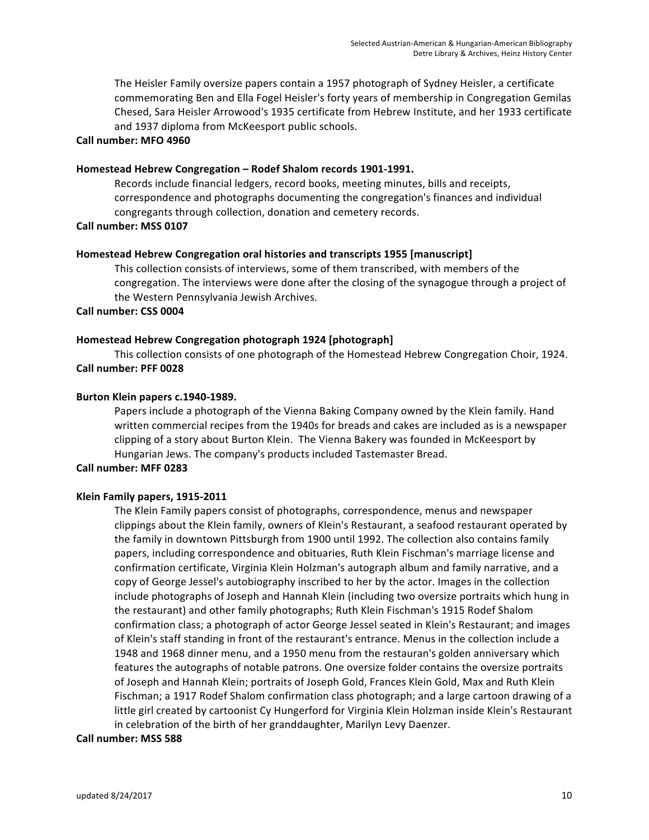The Heisler Family oversize papers contain a 1957 photograph of Sydney Heisler, a certificate commemorating Ben and Ella Fogel Heisler's forty years of membership in Congregation Gemilas Chesed, Sara Heisler Arrowood's 1935 certificate from Hebrew Institute, and her 1933 certificate and 1937 diploma from McKeesport public schools.

#### **Call number: MFO 4960**

#### Homestead Hebrew Congregation - Rodef Shalom records 1901-1991.

Records include financial ledgers, record books, meeting minutes, bills and receipts, correspondence and photographs documenting the congregation's finances and individual congregants through collection, donation and cemetery records.

#### **Call number: MSS 0107**

#### **Homestead Hebrew Congregation oral histories and transcripts 1955 [manuscript]**

This collection consists of interviews, some of them transcribed, with members of the congregation. The interviews were done after the closing of the synagogue through a project of the Western Pennsylvania Jewish Archives.

#### **Call number: CSS 0004**

#### Homestead Hebrew Congregation photograph 1924 [photograph]

This collection consists of one photograph of the Homestead Hebrew Congregation Choir, 1924. **Call number: PFF 0028**

#### **Burton Klein papers c.1940-1989.**

Papers include a photograph of the Vienna Baking Company owned by the Klein family. Hand written commercial recipes from the 1940s for breads and cakes are included as is a newspaper clipping of a story about Burton Klein. The Vienna Bakery was founded in McKeesport by Hungarian Jews. The company's products included Tastemaster Bread.

#### **Call number: MFF 0283**

#### **Klein Family papers, 1915-2011**

The Klein Family papers consist of photographs, correspondence, menus and newspaper clippings about the Klein family, owners of Klein's Restaurant, a seafood restaurant operated by the family in downtown Pittsburgh from 1900 until 1992. The collection also contains family papers, including correspondence and obituaries, Ruth Klein Fischman's marriage license and confirmation certificate, Virginia Klein Holzman's autograph album and family narrative, and a copy of George Jessel's autobiography inscribed to her by the actor. Images in the collection include photographs of Joseph and Hannah Klein (including two oversize portraits which hung in the restaurant) and other family photographs; Ruth Klein Fischman's 1915 Rodef Shalom confirmation class; a photograph of actor George Jessel seated in Klein's Restaurant; and images of Klein's staff standing in front of the restaurant's entrance. Menus in the collection include a 1948 and 1968 dinner menu, and a 1950 menu from the restauran's golden anniversary which features the autographs of notable patrons. One oversize folder contains the oversize portraits of Joseph and Hannah Klein; portraits of Joseph Gold, Frances Klein Gold, Max and Ruth Klein Fischman; a 1917 Rodef Shalom confirmation class photograph; and a large cartoon drawing of a little girl created by cartoonist Cy Hungerford for Virginia Klein Holzman inside Klein's Restaurant in celebration of the birth of her granddaughter, Marilyn Levy Daenzer.

#### **Call number: MSS 588**